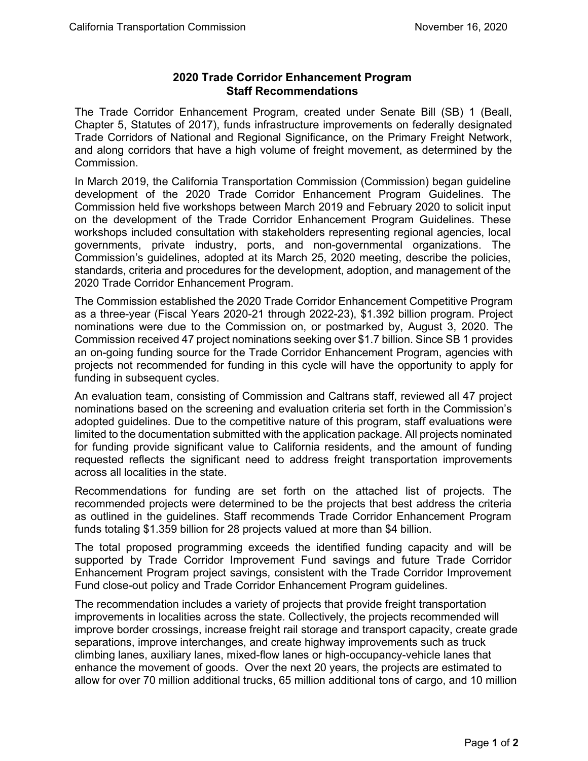## **2020 Trade Corridor Enhancement Program Staff Recommendations**

 The Trade Corridor Enhancement Program, created under Senate Bill (SB) 1 (Beall, Chapter 5, Statutes of 2017), funds infrastructure improvements on federally designated and along corridors that have a high volume of freight movement, as determined by the Trade Corridors of National and Regional Significance, on the Primary Freight Network, Commission.

 on the development of the Trade Corridor Enhancement Program Guidelines. These In March 2019, the California Transportation Commission (Commission) began guideline development of the 2020 Trade Corridor Enhancement Program Guidelines. The Commission held five workshops between March 2019 and February 2020 to solicit input workshops included consultation with stakeholders representing regional agencies, local governments, private industry, ports, and non-governmental organizations. The Commission's guidelines, adopted at its March 25, 2020 meeting, describe the policies, standards, criteria and procedures for the development, adoption, and management of the 2020 Trade Corridor Enhancement Program.

 nominations were due to the Commission on, or postmarked by, August 3, 2020. The an on-going funding source for the Trade Corridor Enhancement Program, agencies with The Commission established the 2020 Trade Corridor Enhancement Competitive Program as a three-year (Fiscal Years 2020-21 through 2022-23), \$1.392 billion program. Project Commission received 47 project nominations seeking over \$1.7 billion. Since SB 1 provides projects not recommended for funding in this cycle will have the opportunity to apply for funding in subsequent cycles.

 for funding provide significant value to California residents, and the amount of funding requested reflects the significant need to address freight transportation improvements An evaluation team, consisting of Commission and Caltrans staff, reviewed all 47 project nominations based on the screening and evaluation criteria set forth in the Commission's adopted guidelines. Due to the competitive nature of this program, staff evaluations were limited to the documentation submitted with the application package. All projects nominated across all localities in the state.

Recommendations for funding are set forth on the attached list of projects. The recommended projects were determined to be the projects that best address the criteria as outlined in the guidelines. Staff recommends Trade Corridor Enhancement Program funds totaling \$1.359 billion for 28 projects valued at more than \$4 billion.

The total proposed programming exceeds the identified funding capacity and will be supported by Trade Corridor Improvement Fund savings and future Trade Corridor Enhancement Program project savings, consistent with the Trade Corridor Improvement Fund close-out policy and Trade Corridor Enhancement Program guidelines.

 enhance the movement of goods. Over the next 20 years, the projects are estimated to The recommendation includes a variety of projects that provide freight transportation improvements in localities across the state. Collectively, the projects recommended will improve border crossings, increase freight rail storage and transport capacity, create grade separations, improve interchanges, and create highway improvements such as truck climbing lanes, auxiliary lanes, mixed-flow lanes or high-occupancy-vehicle lanes that allow for over 70 million additional trucks, 65 million additional tons of cargo, and 10 million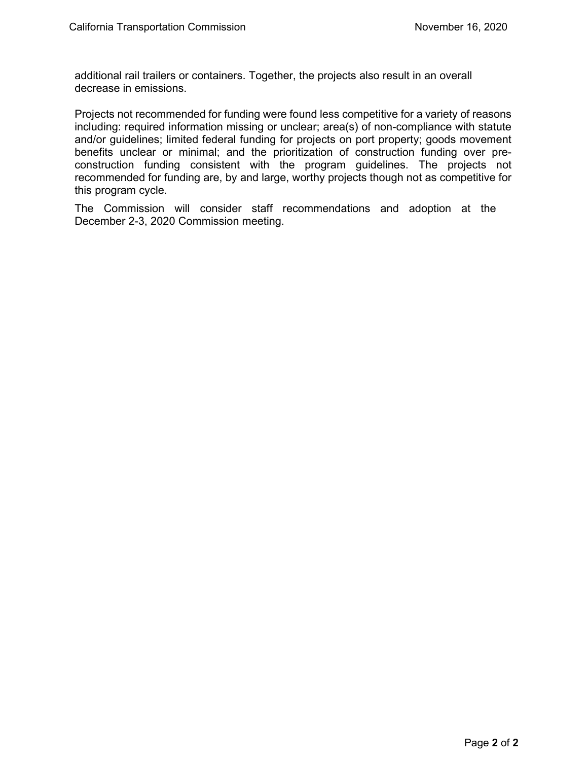additional rail trailers or containers. Together, the projects also result in an overall decrease in emissions.

 including: required information missing or unclear; area(s) of non-compliance with statute Projects not recommended for funding were found less competitive for a variety of reasons and/or guidelines; limited federal funding for projects on port property; goods movement benefits unclear or minimal; and the prioritization of construction funding over preconstruction funding consistent with the program guidelines. The projects not recommended for funding are, by and large, worthy projects though not as competitive for this program cycle.

 December 2-3, 2020 Commission meeting. The Commission will consider staff recommendations and adoption at the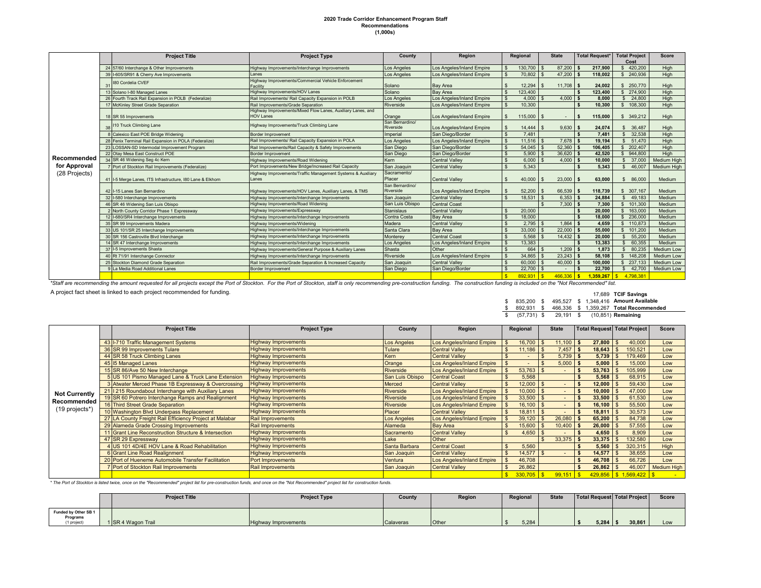## **2020 Trade Corridor Enhancement Program Staff Recommendations (1,000s)**

|                                                                                                                                                                                                                                | <b>Project Title</b><br><b>Project Type</b>                |                                                                                 | County                       | Region                    | Regional |             | <b>State</b>             | <b>Total Request*</b>        | <b>Total Project</b><br>Cost | <b>Score</b>       |
|--------------------------------------------------------------------------------------------------------------------------------------------------------------------------------------------------------------------------------|------------------------------------------------------------|---------------------------------------------------------------------------------|------------------------------|---------------------------|----------|-------------|--------------------------|------------------------------|------------------------------|--------------------|
|                                                                                                                                                                                                                                | 24 57/60 Interchange & Other Improvements                  | Highway Improvements/Interchange Improvements                                   | Los Angeles                  | Los Angeles/Inland Empire |          | 130,700     | 87.200                   | 217.900                      | 420,200                      | High               |
|                                                                                                                                                                                                                                | 39 I-605/SR91 & Cherry Ave Improvements                    | l anes                                                                          | Los Angeles                  | Los Angeles/Inland Empire |          | 70,802      | 47.200                   | 118.002                      | 240,936                      | High               |
|                                                                                                                                                                                                                                | 180 Cordelia CVEF<br>31                                    | Highway Improvements/Commercial Vehicle Enforcement<br>Facility                 | Solano                       | <b>Bay Area</b>           |          | 12.294      | 11.708                   | 24.002<br>l S                | 250,770                      | High               |
|                                                                                                                                                                                                                                | 13 Solano I-80 Managed Lanes                               | Highway Improvements/HOV Lanes                                                  | Solano                       | <b>Bay Area</b>           |          | 123,400     |                          | 123.400                      | 274,900                      | High               |
|                                                                                                                                                                                                                                | 26 Fourth Track Rail Expansion in POLB (Federalize)        | Rail Improvements/ Rail Capacity Expansion in POLB                              | Los Angeles                  | Los Angeles/Inland Empire |          | 4.000       | $4,000$ \$               | 8.000                        | 24,800<br>S                  | High               |
|                                                                                                                                                                                                                                | McKinley Street Grade Separation                           | Rail Improvements/Grade Separation                                              | Riverside                    | Los Angeles/Inland Empire |          | 10.300      |                          | 10.300                       | 108,300<br>s.                | High               |
|                                                                                                                                                                                                                                | 18 SR 55 Improvements                                      | Highway Improvements/Mixed Flow Lanes, Auxiliary Lanes, and<br><b>HOV Lanes</b> | Orange                       | Los Angeles/Inland Empire |          | 115,000     | $\overline{\phantom{a}}$ | 115,000<br>-S                | 349,212                      | High               |
|                                                                                                                                                                                                                                | 110 Truck Climbing Lane                                    | Highway Improvements/Truck Climbing Lane                                        | San Bernardino/<br>Riverside | Los Angeles/Inland Empire |          | 14,444      | 9,630                    | 24,074<br>l S                | 36,487                       | High               |
|                                                                                                                                                                                                                                | 8 Calexico East POE Bridge Widening                        | <b>Border Improvement</b>                                                       | Imperial                     | San Diego/Border          |          | 7.481       |                          | 7.481                        | 32.538<br>-S                 | High               |
|                                                                                                                                                                                                                                | 28 Fenix Terminal Rail Expansion in POLA (Federalize)      | Rail Improvements/ Rail Capacity Expansion in POLA                              | Los Angeles                  | Los Angeles/Inland Empire |          | $11,516$ \$ | $7,678$ \$               | 19,194                       | 51,470<br>S                  | High               |
|                                                                                                                                                                                                                                | 23 LOSSAN-SD Intermodal Improvement Program                | Rail Improvements/Rail Capacity & Safety Improvements                           | San Diego                    | San Diego/Border          |          | $54,045$ \$ | $52,360$ \$              | 106,405                      | 202.407<br>$\mathbf{R}$      | High               |
|                                                                                                                                                                                                                                | 22 Otay Mesa East Construct POE                            | <b>Border Improvement</b>                                                       | San Diego                    | San Diego/Border          |          | 5.900       | $36.620$ \$              | 42.520                       | 944,800<br>$\mathbf{s}$      | High               |
| Recommended                                                                                                                                                                                                                    | 34 SR 46 Widening Seg 4c Kern                              | Highway Improvements/Road Widening                                              | Kern                         | <b>Central Valley</b>     |          | 6.000       | $4,000$ \$               | 10.000                       | 37,000<br>\$                 | Medium High        |
| for Approval                                                                                                                                                                                                                   | Port of Stockton Rail Improvements (Federalize)            | Port Improvements/New Bridge/Increased Rail Capacity                            | San Joaquin                  | <b>Central Vallev</b>     |          | 5.343       |                          | 5.343                        | 46,007<br>\$                 | <b>Medium High</b> |
| (28 Projects)                                                                                                                                                                                                                  | 41 I-5 Merge Lanes, ITS Infrastructure, 180 Lane & Elkhorn | Highway Improvements/Traffic Management Systems & Auxiliary<br>Lanes            | Sacramento/<br>Placer        | <b>Central Vallev</b>     |          | 40,000      | $23,000$ \$              | 63,000                       | 86,000<br>S                  | Medium             |
|                                                                                                                                                                                                                                | 42 I-15 Lanes San Bernardino                               | Highway Improvements/HOV Lanes, Auxiliary Lanes, & TMS                          | San Bernardino/<br>Riverside | Los Angeles/Inland Empire |          | 52,200      | 66,539                   | 118.739<br>l S               | 307.167<br><sup>\$</sup>     | Medium             |
|                                                                                                                                                                                                                                | 32 I-580 Interchange Improvements                          | Highway Improvements/Interchange Improvements                                   | San Joaquin                  | <b>Central Vallev</b>     |          | 18,531      | $6,353$ \$               | 24,884                       | 49,183<br>$\mathbf{s}$       | Medium             |
|                                                                                                                                                                                                                                | 46 SR 46 Widening San Luis Obispo                          | Highway Improvements/Road Widening                                              | San Luis Obispo              | <b>Central Coast</b>      |          |             | 7,300                    | 7,300<br>l \$                | 101.300<br>$\mathbf{s}$      | Medium             |
|                                                                                                                                                                                                                                | 2 North County Corridor Phase 1 Expressway                 | Highway Improvements/Expressway                                                 | <b>Stanislaus</b>            | <b>Central Valley</b>     |          | 20,000      |                          | 20,000<br>$\mathbf{\hat{S}}$ | 163,000<br>$\mathbf{s}$      | Medium             |
|                                                                                                                                                                                                                                | 12 I-680/SR4 Interchange Improvements                      | Highway Improvements/Interchange Improvements                                   | Contra Costa                 | <b>Bay Area</b>           |          | 18,000      |                          | 18.000<br>$\mathbf{\hat{S}}$ | 236,000<br>$\mathbf{s}$      | Medium             |
|                                                                                                                                                                                                                                | 35 SR 99 Improvements Madera                               | Highway Improvements/Widening                                                   | Madera                       | <b>Central Valley</b>     |          | 2.795       | $1,864$ \$               | 4.659                        | 110,873<br>$\mathbf{s}$      | Medium             |
|                                                                                                                                                                                                                                | 33 US 101/SR 25 Interchange Improvements                   | Highway Improvements/Interchange Improvements                                   | Santa Clara                  | <b>Bay Area</b>           |          | 33,000      | $22.000$ \$              | 55,000                       | 101.200<br>$\mathbf{s}$      | Medium             |
|                                                                                                                                                                                                                                | 30 SR 156 Castroville Blvd Interchange                     | Highway Improvements/Interchange Improvements                                   | Monterev                     | <b>Central Coast</b>      |          | 5.568       | 14,432                   | 20,000                       | 55,200<br>S                  | Medium             |
|                                                                                                                                                                                                                                | 14 SR 47 Interchange Improvements                          | Highway Improvements/Interchange Improvements                                   | Los Angeles                  | Los Angeles/Inland Empire |          | 13,383      |                          | 13,383                       | 60.355<br>$\mathbf{s}$       | Medium             |
|                                                                                                                                                                                                                                | 37 I-5 Improvements Shasta                                 | Highway Improvements/General Purpose & Auxiliary Lanes                          | Shasta                       | Other                     |          | 664 \$      | $1.209$ \$               | 1.873                        | 80.235<br>$\mathbf{s}$       | Medium Low         |
|                                                                                                                                                                                                                                | 40 Rt 71/91 Interchange Connector                          | Highway Improvements/Interchange Improvements                                   | Riverside                    | Los Angeles/Inland Empire |          | $34.865$ \$ | $23.243$ \$              | 58.108                       | 148,208<br>$\mathbf{s}$      | Medium Low         |
|                                                                                                                                                                                                                                | 25 Stockton Diamond Grade Separation                       | Rail Improvements/Grade Separation & Increased Capacity                         | San Joaquin                  | <b>Central Vallev</b>     |          | 60,000      | 40,000                   | 100.000                      | 237,133<br>$\mathbb{S}$      | Medium Low         |
|                                                                                                                                                                                                                                | La Media Road Additional Lanes                             | Border Improvement                                                              | San Diego                    | San Diego/Border          |          | 22,700      |                          | 22,700                       | 42,700<br>\$                 | Medium Low         |
|                                                                                                                                                                                                                                |                                                            |                                                                                 |                              |                           |          | 892.93      |                          | 359.267                      | 4.798.381<br>$\mathbf{s}$    |                    |
| *Staff are recommending the amount requested for all projects except the Port of Stockton. For the Port of Stockton, staff is only recommending pre-construction funding. The construction funding is included on the "Not Rec |                                                            |                                                                                 |                              |                           |          |             |                          |                              |                              |                    |

A project fact sheet is linked to each project recommended for funding.

 17,689 **TCIF Savings**  \$ 835,200 \$ 495,527 \$ 1,348,416 **Amount Available**  \$ 892,931 \$ 466,336 \$ 1,359,267 **Total Recommended**  \$ (57,731) \$ 29,191 \$ (10,851) **Remaining** 

|                                     | <b>Project Title</b>                                    | <b>Project Type</b>         | County             | Region                           | Regional    | <b>State</b> | <b>Total Request Total Project</b> |                     | Score              |
|-------------------------------------|---------------------------------------------------------|-----------------------------|--------------------|----------------------------------|-------------|--------------|------------------------------------|---------------------|--------------------|
|                                     | 43 I-710 Traffic Management Systems                     | <b>Highway Improvements</b> | <b>Los Angeles</b> | Los Angeles/Inland Empire        | 16.700      | 11.100       | 27,800                             | 40,000              | Low                |
|                                     | 36 SR 99 Improvements Tulare                            | <b>Highway Improvements</b> | Tulare             | <b>Central Valley</b>            | 11,186      | 7,457        | 18,643                             | 150.521             | Low                |
|                                     | 44 SR 58 Truck Climbing Lanes                           | <b>Highway Improvements</b> | Kern               | <b>Central Valley</b>            |             | $5,739$ \$   | 5,739                              | 179,469<br>-9       | Low                |
|                                     | 45 15 Managed Lanes                                     | <b>Highway Improvements</b> | Orange             | Los Angeles/Inland Empire        |             | 5,000        | 5,000<br>ΙSΙ                       | 15,000<br>- 93      | Low                |
|                                     | 15 SR 86/Ave 50 New Interchange                         | <b>Highway Improvements</b> | Riverside          | <b>Los Angeles/Inland Empire</b> | 53,763      |              | 53,763                             | 105,999             | Low                |
|                                     | 5 US 101 Pismo Managed Lane & Truck Lane Extension      | <b>Highway Improvements</b> | San Luis Obispo    | <b>Central Coast</b>             | 5,568       |              | 5.568                              | 68,915              | Low                |
| <b>Not Currently</b><br>Recommended | 3 Atwater Merced Phase 1B Expressway & Overcrossing     | <b>Highway Improvements</b> | <b>Merced</b>      | <b>Central Valley</b>            | $12,000$ \$ |              | 12,000                             | 59,430              | Low                |
|                                     | 21   215 Roundabout Interchange with Auxiliary Lanes    | <b>Highway Improvements</b> | <b>Riverside</b>   | <b>Los Angeles/Inland Empire</b> | $10,000$ \$ |              | 10,000                             | 47,000              | Low                |
|                                     | 19 SR 60 Potrero Interchange Ramps and Realignment      | <b>Highway Improvements</b> | <b>Riverside</b>   | <b>Los Angeles/Inland Empire</b> | 33,500      |              | 33,500                             | 61,530              | Low                |
|                                     | 16 Third Street Grade Separation                        | <b>Highway Improvements</b> | Riverside          | Los Angeles/Inland Empire        | $16,100$ \$ |              | 16,100                             | 55,500              | Low                |
| (19 projects*)                      | 10 Washington Blvd Underpass Replacement                | <b>Highway Improvements</b> | <b>Placer</b>      | <b>Central Valley</b>            | $18.811$ \$ |              | 18,811                             | 30,573              | Low                |
|                                     | 27 LA County Freight Rail Efficiency Project at Malabar | <b>Rail Improvements</b>    | <b>Los Angeles</b> | Los Angeles/Inland Empire        | 39.120      | 26,080       | 65,200                             | 84,738              | Low                |
|                                     | 29 Alameda Grade Crossing Improvements                  | <b>Rail Improvements</b>    | Alameda            | <b>Bay Area</b>                  | 15,600      | 10,400       | 26,000                             | 57,555              | Low                |
|                                     | 11 Grant Line Reconstruction Structure & Intersection   | <b>Highway Improvements</b> | Sacramento         | <b>Central Valley</b>            | 4,650       |              | 4,650<br>-9                        | 8,909               | Low                |
|                                     | 47 SR 29 Expressway                                     | <b>Highway Improvements</b> | Lake               | <b>Other</b>                     |             | 33,375       | 33,375                             | 132,580             | Low                |
|                                     | 4 US 101 4D/4E HOV Lane & Road Rehabilitation           | <b>Highway Improvements</b> | Santa Barbara      | <b>Central Coast</b>             | 5,560       |              | 5,560                              | 320,315             | <b>High</b>        |
|                                     | 6 Grant Line Road Realignment                           | <b>Highway Improvements</b> | San Joaquin        | <b>Central Valley</b>            | $14,577$ \$ |              | 14,577<br>£.                       | 38,655              | Low                |
|                                     | 20 Port of Hueneme Automobile Transfer Facilitation     | Port Improvements           | Ventura            | Los Angeles/Inland Empire        | 46,708      |              | 46,708                             | 66,726              | Low                |
|                                     | 7 Port of Stockton Rail Improvements                    | <b>Rail Improvements</b>    | San Joaquin        | <b>Central Valley</b>            | 26,862      |              | 26,862                             | 46,007              | <b>Medium High</b> |
|                                     |                                                         |                             |                    |                                  | 330,705     | 99,15'       |                                    | 429,856 \$1,569,422 |                    |

 *\* The Port of Stockton is listed twice, once on the "Recommended" project list for pre-construction funds, and once on the "Not Recommended" project list for construction funds.* 

|                                                 | <b>Project Title</b> | <b>Project Type</b>         |           | Region | Regional | <b>State</b> | Total Request Total Project |        | <b>Score</b> |
|-------------------------------------------------|----------------------|-----------------------------|-----------|--------|----------|--------------|-----------------------------|--------|--------------|
| Funded by Other SB 1<br>Programs<br>(1 project) | 1 SR 4 Wagon Trail   | <b>Highway Improvements</b> | Calaveras | Other  | 5,284    |              | $5,284$ \$                  | 30,861 | Low          |